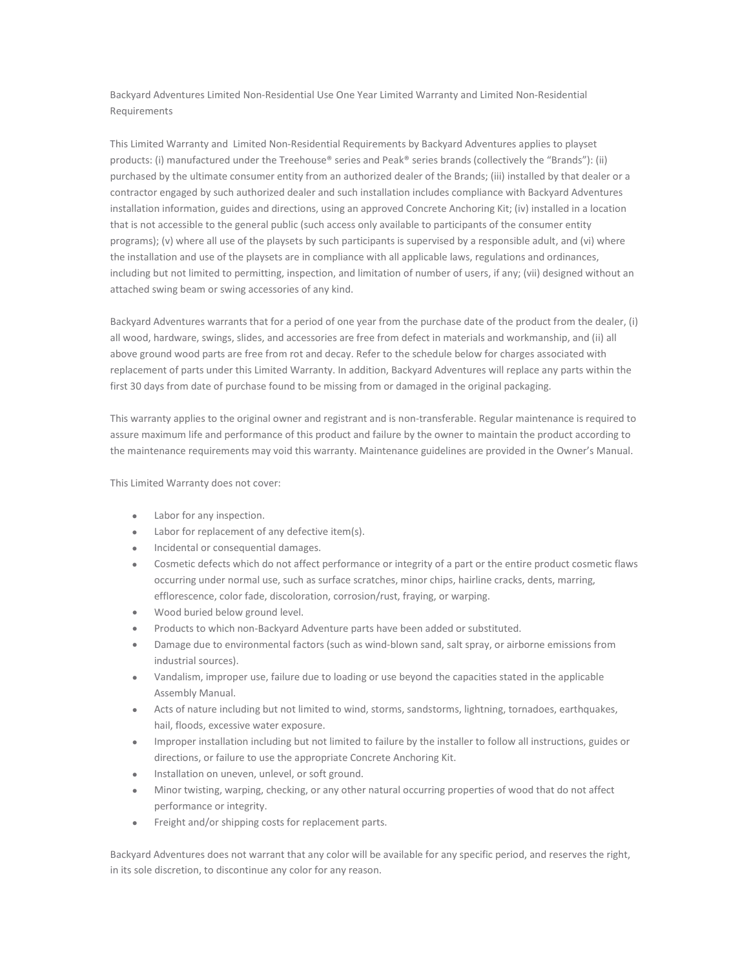Backyard Adventures Limited Non-Residential Use One Year Limited Warranty and Limited Non-Residential **Requirements** 

This Limited Warranty and Limited Non-Residential Requirements by Backyard Adventures applies to playset products: (i) manufactured under the Treehouse® series and Peak® series brands (collectively the "Brands"): (ii) purchased by the ultimate consumer entity from an authorized dealer of the Brands; (iii) installed by that dealer or a contractor engaged by such authorized dealer and such installation includes compliance with Backyard Adventures installation information, guides and directions, using an approved Concrete Anchoring Kit; (iv) installed in a location that is not accessible to the general public (such access only available to participants of the consumer entity programs); (v) where all use of the playsets by such participants is supervised by a responsible adult, and (vi) where the installation and use of the playsets are in compliance with all applicable laws, regulations and ordinances, including but not limited to permitting, inspection, and limitation of number of users, if any; (vii) designed without an attached swing beam or swing accessories of any kind.

Backyard Adventures warrants that for a period of one year from the purchase date of the product from the dealer, (i) all wood, hardware, swings, slides, and accessories are free from defect in materials and workmanship, and (ii) all above ground wood parts are free from rot and decay. Refer to the schedule below for charges associated with replacement of parts under this Limited Warranty. In addition, Backyard Adventures will replace any parts within the first 30 days from date of purchase found to be missing from or damaged in the original packaging.

This warranty applies to the original owner and registrant and is non-transferable. Regular maintenance is required to assure maximum life and performance of this product and failure by the owner to maintain the product according to the maintenance requirements may void this warranty. Maintenance guidelines are provided in the Owner's Manual.

This Limited Warranty does not cover:

- Labor for any inspection.
- Labor for replacement of any defective item(s).
- Incidental or consequential damages.
- Cosmetic defects which do not affect performance or integrity of a part or the entire product cosmetic flaws occurring under normal use, such as surface scratches, minor chips, hairline cracks, dents, marring, efflorescence, color fade, discoloration, corrosion/rust, fraying, or warping.
- Wood buried below ground level.
- Products to which non-Backyard Adventure parts have been added or substituted.
- Damage due to environmental factors (such as wind-blown sand, salt spray, or airborne emissions from industrial sources).
- Vandalism, improper use, failure due to loading or use beyond the capacities stated in the applicable Assembly Manual.
- Acts of nature including but not limited to wind, storms, sandstorms, lightning, tornadoes, earthquakes, hail, floods, excessive water exposure.
- Improper installation including but not limited to failure by the installer to follow all instructions, guides or directions, or failure to use the appropriate Concrete Anchoring Kit.
- Installation on uneven, unlevel, or soft ground.
- Minor twisting, warping, checking, or any other natural occurring properties of wood that do not affect performance or integrity.
- Freight and/or shipping costs for replacement parts.

Backyard Adventures does not warrant that any color will be available for any specific period, and reserves the right, in its sole discretion, to discontinue any color for any reason.